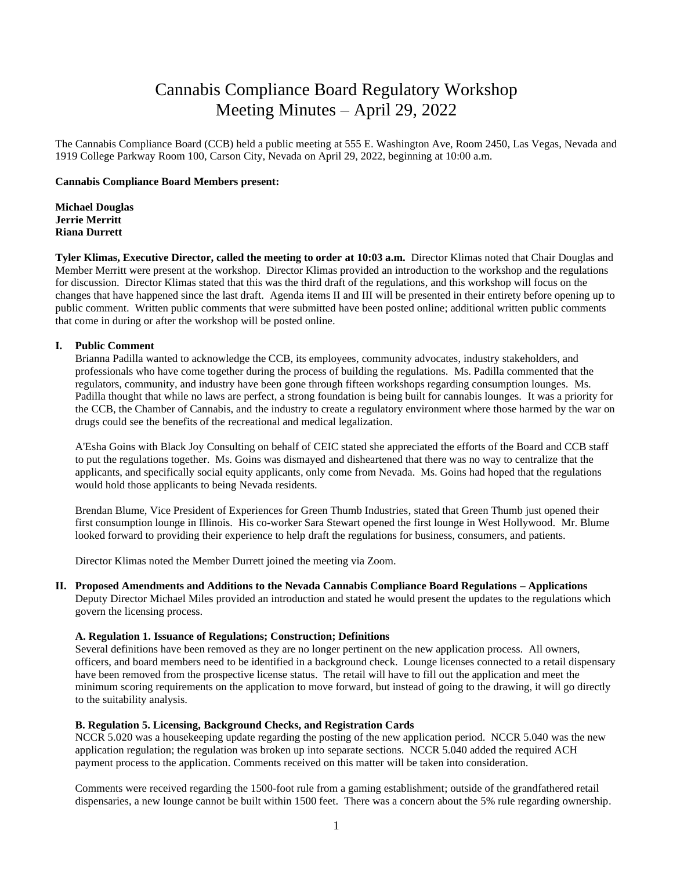# Cannabis Compliance Board Regulatory Workshop Meeting Minutes – April 29, 2022

The Cannabis Compliance Board (CCB) held a public meeting at 555 E. Washington Ave, Room 2450, Las Vegas, Nevada and 1919 College Parkway Room 100, Carson City, Nevada on April 29, 2022, beginning at 10:00 a.m.

## **Cannabis Compliance Board Members present:**

**Michael Douglas Jerrie Merritt Riana Durrett**

**Tyler Klimas, Executive Director, called the meeting to order at 10:03 a.m.** Director Klimas noted that Chair Douglas and Member Merritt were present at the workshop. Director Klimas provided an introduction to the workshop and the regulations for discussion. Director Klimas stated that this was the third draft of the regulations, and this workshop will focus on the changes that have happened since the last draft. Agenda items II and III will be presented in their entirety before opening up to public comment. Written public comments that were submitted have been posted online; additional written public comments that come in during or after the workshop will be posted online.

## **I. Public Comment**

Brianna Padilla wanted to acknowledge the CCB, its employees, community advocates, industry stakeholders, and professionals who have come together during the process of building the regulations. Ms. Padilla commented that the regulators, community, and industry have been gone through fifteen workshops regarding consumption lounges. Ms. Padilla thought that while no laws are perfect, a strong foundation is being built for cannabis lounges. It was a priority for the CCB, the Chamber of Cannabis, and the industry to create a regulatory environment where those harmed by the war on drugs could see the benefits of the recreational and medical legalization.

A'Esha Goins with Black Joy Consulting on behalf of CEIC stated she appreciated the efforts of the Board and CCB staff to put the regulations together. Ms. Goins was dismayed and disheartened that there was no way to centralize that the applicants, and specifically social equity applicants, only come from Nevada. Ms. Goins had hoped that the regulations would hold those applicants to being Nevada residents.

Brendan Blume, Vice President of Experiences for Green Thumb Industries, stated that Green Thumb just opened their first consumption lounge in Illinois. His co-worker Sara Stewart opened the first lounge in West Hollywood. Mr. Blume looked forward to providing their experience to help draft the regulations for business, consumers, and patients.

Director Klimas noted the Member Durrett joined the meeting via Zoom.

**II. Proposed Amendments and Additions to the Nevada Cannabis Compliance Board Regulations – Applications** Deputy Director Michael Miles provided an introduction and stated he would present the updates to the regulations which govern the licensing process.

#### **A. Regulation 1. Issuance of Regulations; Construction; Definitions**

Several definitions have been removed as they are no longer pertinent on the new application process. All owners, officers, and board members need to be identified in a background check. Lounge licenses connected to a retail dispensary have been removed from the prospective license status. The retail will have to fill out the application and meet the minimum scoring requirements on the application to move forward, but instead of going to the drawing, it will go directly to the suitability analysis.

#### **B. Regulation 5. Licensing, Background Checks, and Registration Cards**

NCCR 5.020 was a housekeeping update regarding the posting of the new application period. NCCR 5.040 was the new application regulation; the regulation was broken up into separate sections. NCCR 5.040 added the required ACH payment process to the application. Comments received on this matter will be taken into consideration.

Comments were received regarding the 1500-foot rule from a gaming establishment; outside of the grandfathered retail dispensaries, a new lounge cannot be built within 1500 feet. There was a concern about the 5% rule regarding ownership.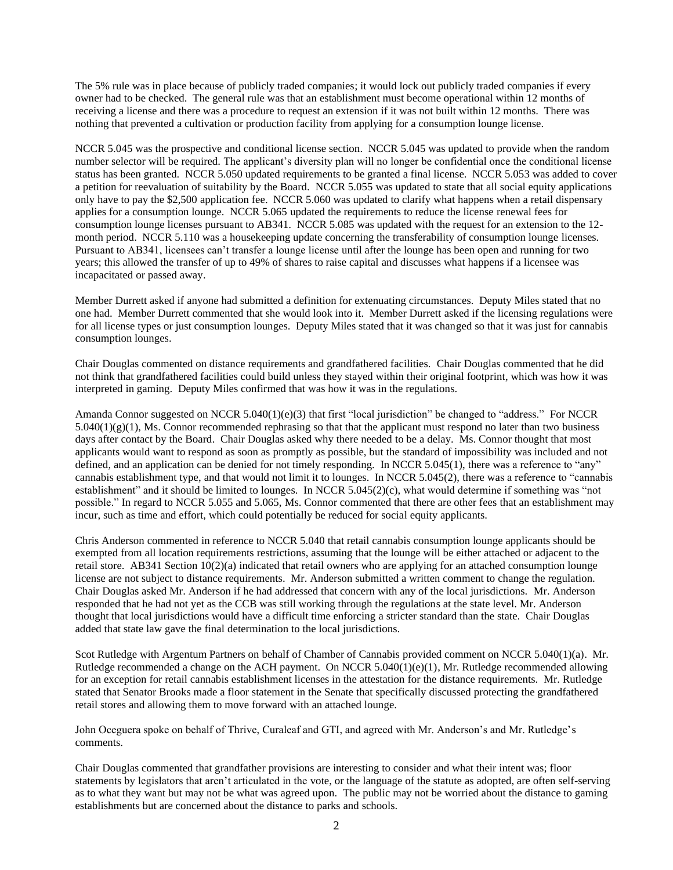The 5% rule was in place because of publicly traded companies; it would lock out publicly traded companies if every owner had to be checked. The general rule was that an establishment must become operational within 12 months of receiving a license and there was a procedure to request an extension if it was not built within 12 months. There was nothing that prevented a cultivation or production facility from applying for a consumption lounge license.

NCCR 5.045 was the prospective and conditional license section. NCCR 5.045 was updated to provide when the random number selector will be required. The applicant's diversity plan will no longer be confidential once the conditional license status has been granted. NCCR 5.050 updated requirements to be granted a final license. NCCR 5.053 was added to cover a petition for reevaluation of suitability by the Board. NCCR 5.055 was updated to state that all social equity applications only have to pay the \$2,500 application fee. NCCR 5.060 was updated to clarify what happens when a retail dispensary applies for a consumption lounge. NCCR 5.065 updated the requirements to reduce the license renewal fees for consumption lounge licenses pursuant to AB341. NCCR 5.085 was updated with the request for an extension to the 12 month period. NCCR 5.110 was a housekeeping update concerning the transferability of consumption lounge licenses. Pursuant to AB341, licensees can't transfer a lounge license until after the lounge has been open and running for two years; this allowed the transfer of up to 49% of shares to raise capital and discusses what happens if a licensee was incapacitated or passed away.

Member Durrett asked if anyone had submitted a definition for extenuating circumstances. Deputy Miles stated that no one had. Member Durrett commented that she would look into it. Member Durrett asked if the licensing regulations were for all license types or just consumption lounges. Deputy Miles stated that it was changed so that it was just for cannabis consumption lounges.

Chair Douglas commented on distance requirements and grandfathered facilities. Chair Douglas commented that he did not think that grandfathered facilities could build unless they stayed within their original footprint, which was how it was interpreted in gaming. Deputy Miles confirmed that was how it was in the regulations.

Amanda Connor suggested on NCCR  $5.040(1)(e)(3)$  that first "local jurisdiction" be changed to "address." For NCCR  $5.040(1)(g)(1)$ , Ms. Connor recommended rephrasing so that that the applicant must respond no later than two business days after contact by the Board. Chair Douglas asked why there needed to be a delay. Ms. Connor thought that most applicants would want to respond as soon as promptly as possible, but the standard of impossibility was included and not defined, and an application can be denied for not timely responding. In NCCR 5.045(1), there was a reference to "any" cannabis establishment type, and that would not limit it to lounges. In NCCR 5.045(2), there was a reference to "cannabis establishment" and it should be limited to lounges. In NCCR 5.045(2)(c), what would determine if something was "not possible." In regard to NCCR 5.055 and 5.065, Ms. Connor commented that there are other fees that an establishment may incur, such as time and effort, which could potentially be reduced for social equity applicants.

Chris Anderson commented in reference to NCCR 5.040 that retail cannabis consumption lounge applicants should be exempted from all location requirements restrictions, assuming that the lounge will be either attached or adjacent to the retail store. AB341 Section 10(2)(a) indicated that retail owners who are applying for an attached consumption lounge license are not subject to distance requirements. Mr. Anderson submitted a written comment to change the regulation. Chair Douglas asked Mr. Anderson if he had addressed that concern with any of the local jurisdictions. Mr. Anderson responded that he had not yet as the CCB was still working through the regulations at the state level. Mr. Anderson thought that local jurisdictions would have a difficult time enforcing a stricter standard than the state. Chair Douglas added that state law gave the final determination to the local jurisdictions.

Scot Rutledge with Argentum Partners on behalf of Chamber of Cannabis provided comment on NCCR 5.040(1)(a). Mr. Rutledge recommended a change on the ACH payment. On NCCR 5.040(1)(e)(1), Mr. Rutledge recommended allowing for an exception for retail cannabis establishment licenses in the attestation for the distance requirements. Mr. Rutledge stated that Senator Brooks made a floor statement in the Senate that specifically discussed protecting the grandfathered retail stores and allowing them to move forward with an attached lounge.

John Oceguera spoke on behalf of Thrive, Curaleaf and GTI, and agreed with Mr. Anderson's and Mr. Rutledge's comments.

Chair Douglas commented that grandfather provisions are interesting to consider and what their intent was; floor statements by legislators that aren't articulated in the vote, or the language of the statute as adopted, are often self-serving as to what they want but may not be what was agreed upon. The public may not be worried about the distance to gaming establishments but are concerned about the distance to parks and schools.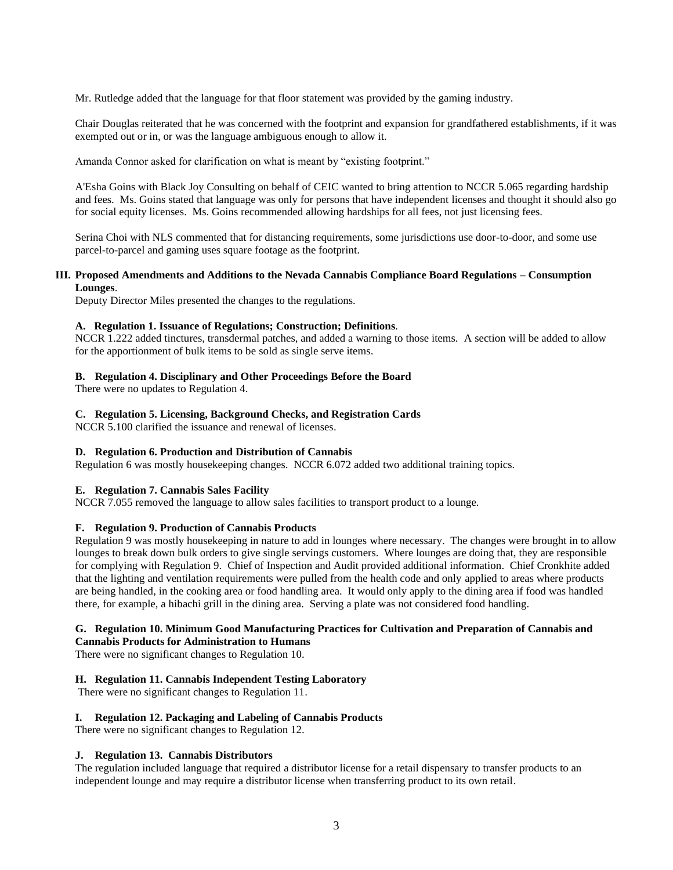Mr. Rutledge added that the language for that floor statement was provided by the gaming industry.

Chair Douglas reiterated that he was concerned with the footprint and expansion for grandfathered establishments, if it was exempted out or in, or was the language ambiguous enough to allow it.

Amanda Connor asked for clarification on what is meant by "existing footprint."

A'Esha Goins with Black Joy Consulting on behalf of CEIC wanted to bring attention to NCCR 5.065 regarding hardship and fees. Ms. Goins stated that language was only for persons that have independent licenses and thought it should also go for social equity licenses. Ms. Goins recommended allowing hardships for all fees, not just licensing fees.

Serina Choi with NLS commented that for distancing requirements, some jurisdictions use door-to-door, and some use parcel-to-parcel and gaming uses square footage as the footprint.

## **III. Proposed Amendments and Additions to the Nevada Cannabis Compliance Board Regulations – Consumption Lounges**.

Deputy Director Miles presented the changes to the regulations.

#### **A. Regulation 1. Issuance of Regulations; Construction; Definitions**.

NCCR 1.222 added tinctures, transdermal patches, and added a warning to those items. A section will be added to allow for the apportionment of bulk items to be sold as single serve items.

## **B. Regulation 4. Disciplinary and Other Proceedings Before the Board**

There were no updates to Regulation 4.

## **C. Regulation 5. Licensing, Background Checks, and Registration Cards**

NCCR 5.100 clarified the issuance and renewal of licenses.

# **D. Regulation 6. Production and Distribution of Cannabis**

Regulation 6 was mostly housekeeping changes. NCCR 6.072 added two additional training topics.

# **E. Regulation 7. Cannabis Sales Facility**

NCCR 7.055 removed the language to allow sales facilities to transport product to a lounge.

# **F. Regulation 9. Production of Cannabis Products**

Regulation 9 was mostly housekeeping in nature to add in lounges where necessary. The changes were brought in to allow lounges to break down bulk orders to give single servings customers. Where lounges are doing that, they are responsible for complying with Regulation 9. Chief of Inspection and Audit provided additional information. Chief Cronkhite added that the lighting and ventilation requirements were pulled from the health code and only applied to areas where products are being handled, in the cooking area or food handling area. It would only apply to the dining area if food was handled there, for example, a hibachi grill in the dining area. Serving a plate was not considered food handling.

# **G. Regulation 10. Minimum Good Manufacturing Practices for Cultivation and Preparation of Cannabis and Cannabis Products for Administration to Humans**

There were no significant changes to Regulation 10.

# **H. Regulation 11. Cannabis Independent Testing Laboratory**

There were no significant changes to Regulation 11.

# **I. Regulation 12. Packaging and Labeling of Cannabis Products**

There were no significant changes to Regulation 12.

## **J. Regulation 13. Cannabis Distributors**

The regulation included language that required a distributor license for a retail dispensary to transfer products to an independent lounge and may require a distributor license when transferring product to its own retail.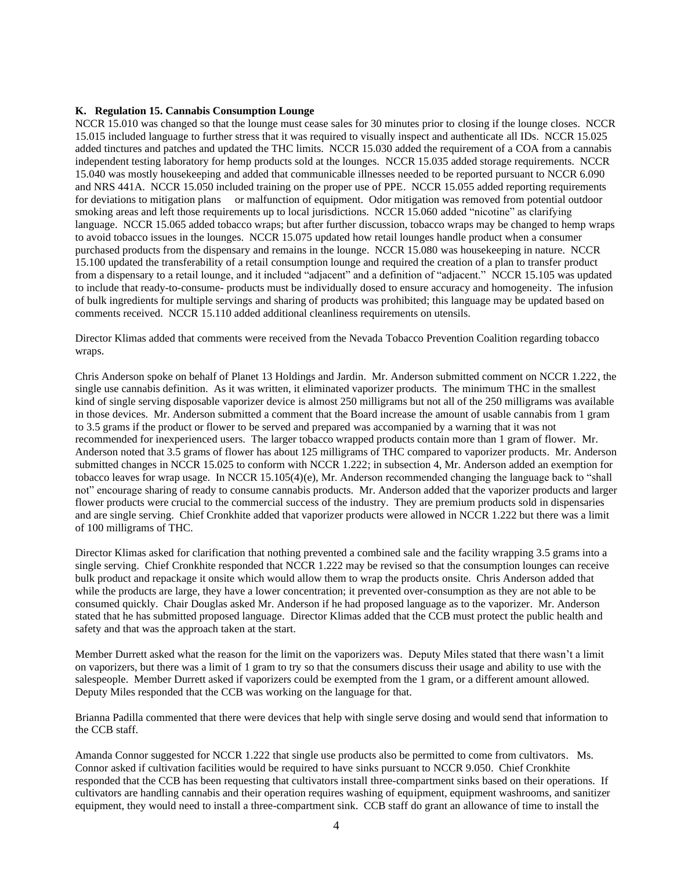#### **K. Regulation 15. Cannabis Consumption Lounge**

NCCR 15.010 was changed so that the lounge must cease sales for 30 minutes prior to closing if the lounge closes. NCCR 15.015 included language to further stress that it was required to visually inspect and authenticate all IDs. NCCR 15.025 added tinctures and patches and updated the THC limits. NCCR 15.030 added the requirement of a COA from a cannabis independent testing laboratory for hemp products sold at the lounges. NCCR 15.035 added storage requirements. NCCR 15.040 was mostly housekeeping and added that communicable illnesses needed to be reported pursuant to NCCR 6.090 and NRS 441A. NCCR 15.050 included training on the proper use of PPE. NCCR 15.055 added reporting requirements for deviations to mitigation plans or malfunction of equipment. Odor mitigation was removed from potential outdoor smoking areas and left those requirements up to local jurisdictions. NCCR 15.060 added "nicotine" as clarifying language. NCCR 15.065 added tobacco wraps; but after further discussion, tobacco wraps may be changed to hemp wraps to avoid tobacco issues in the lounges. NCCR 15.075 updated how retail lounges handle product when a consumer purchased products from the dispensary and remains in the lounge. NCCR 15.080 was housekeeping in nature. NCCR 15.100 updated the transferability of a retail consumption lounge and required the creation of a plan to transfer product from a dispensary to a retail lounge, and it included "adjacent" and a definition of "adjacent." NCCR 15.105 was updated to include that ready-to-consume- products must be individually dosed to ensure accuracy and homogeneity. The infusion of bulk ingredients for multiple servings and sharing of products was prohibited; this language may be updated based on comments received. NCCR 15.110 added additional cleanliness requirements on utensils.

Director Klimas added that comments were received from the Nevada Tobacco Prevention Coalition regarding tobacco wraps.

Chris Anderson spoke on behalf of Planet 13 Holdings and Jardin. Mr. Anderson submitted comment on NCCR 1.222, the single use cannabis definition. As it was written, it eliminated vaporizer products. The minimum THC in the smallest kind of single serving disposable vaporizer device is almost 250 milligrams but not all of the 250 milligrams was available in those devices. Mr. Anderson submitted a comment that the Board increase the amount of usable cannabis from 1 gram to 3.5 grams if the product or flower to be served and prepared was accompanied by a warning that it was not recommended for inexperienced users. The larger tobacco wrapped products contain more than 1 gram of flower. Mr. Anderson noted that 3.5 grams of flower has about 125 milligrams of THC compared to vaporizer products. Mr. Anderson submitted changes in NCCR 15.025 to conform with NCCR 1.222; in subsection 4, Mr. Anderson added an exemption for tobacco leaves for wrap usage. In NCCR 15.105(4)(e), Mr. Anderson recommended changing the language back to "shall not" encourage sharing of ready to consume cannabis products. Mr. Anderson added that the vaporizer products and larger flower products were crucial to the commercial success of the industry. They are premium products sold in dispensaries and are single serving. Chief Cronkhite added that vaporizer products were allowed in NCCR 1.222 but there was a limit of 100 milligrams of THC.

Director Klimas asked for clarification that nothing prevented a combined sale and the facility wrapping 3.5 grams into a single serving. Chief Cronkhite responded that NCCR 1.222 may be revised so that the consumption lounges can receive bulk product and repackage it onsite which would allow them to wrap the products onsite. Chris Anderson added that while the products are large, they have a lower concentration; it prevented over-consumption as they are not able to be consumed quickly. Chair Douglas asked Mr. Anderson if he had proposed language as to the vaporizer. Mr. Anderson stated that he has submitted proposed language. Director Klimas added that the CCB must protect the public health and safety and that was the approach taken at the start.

Member Durrett asked what the reason for the limit on the vaporizers was. Deputy Miles stated that there wasn't a limit on vaporizers, but there was a limit of 1 gram to try so that the consumers discuss their usage and ability to use with the salespeople. Member Durrett asked if vaporizers could be exempted from the 1 gram, or a different amount allowed. Deputy Miles responded that the CCB was working on the language for that.

Brianna Padilla commented that there were devices that help with single serve dosing and would send that information to the CCB staff.

Amanda Connor suggested for NCCR 1.222 that single use products also be permitted to come from cultivators. Ms. Connor asked if cultivation facilities would be required to have sinks pursuant to NCCR 9.050. Chief Cronkhite responded that the CCB has been requesting that cultivators install three-compartment sinks based on their operations. If cultivators are handling cannabis and their operation requires washing of equipment, equipment washrooms, and sanitizer equipment, they would need to install a three-compartment sink. CCB staff do grant an allowance of time to install the